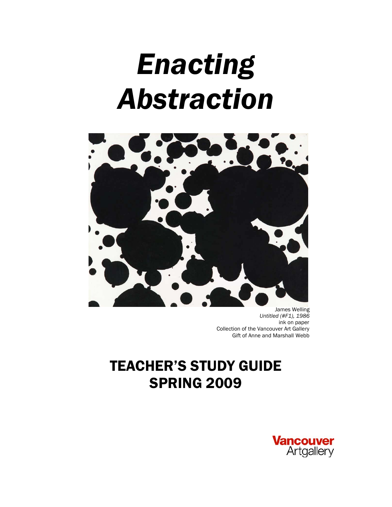# *Enacting Abstraction*



 James Welling *Untitled (#F1), 1986* ink on paper Collection of the Vancouver Art Gallery Gift of Anne and Marshall Webb

# TEACHER'S STUDY GUIDE SPRING 2009

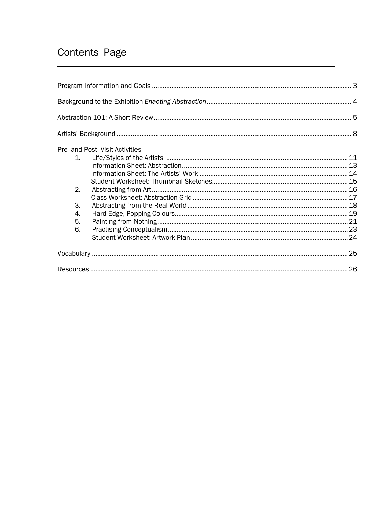# Contents Page

|                | Pre- and Post- Visit Activities |  |
|----------------|---------------------------------|--|
| 1 <sup>1</sup> |                                 |  |
|                |                                 |  |
|                |                                 |  |
|                |                                 |  |
| 2.             |                                 |  |
|                |                                 |  |
| 3.             |                                 |  |
| 4.             |                                 |  |
| 5.             |                                 |  |
| 6.             |                                 |  |
|                |                                 |  |
|                |                                 |  |
|                |                                 |  |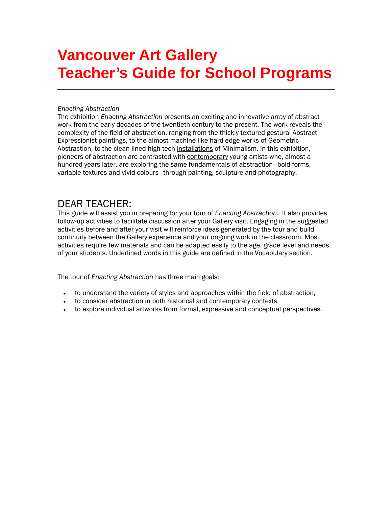# **Vancouver Art Gallery Teacher's Guide for School Programs**

#### *Enacting Abstraction*

The exhibition *Enacting Abstraction* presents an exciting and innovative array of abstract work from the early decades of the twentieth century to the present. The work reveals the complexity of the field of abstraction, ranging from the thickly textured gestural Abstract Expressionist paintings, to the almost machine-like hard-edge works of Geometric Abstraction, to the clean-lined high-tech installations of Minimalism. In this exhibition, pioneers of abstraction are contrasted with contemporary young artists who, almost a hundred years later, are exploring the same fundamentals of abstraction—bold forms, variable textures and vivid colours—through painting, sculpture and photography.

### DEAR TEACHER:

This guide will assist you in preparing for your tour of *Enacting Abstraction.* It also provides follow-up activities to facilitate discussion after your Gallery visit. Engaging in the suggested activities before and after your visit will reinforce ideas generated by the tour and build continuity between the Gallery experience and your ongoing work in the classroom. Most activities require few materials and can be adapted easily to the age, grade level and needs of your students. Underlined words in this guide are defined in the Vocabulary section.

The tour of *Enacting Abstraction* has three main goals:

- to understand the variety of styles and approaches within the field of abstraction,
- to consider abstraction in both historical and contemporary contexts,
- to explore individual artworks from formal, expressive and conceptual perspectives.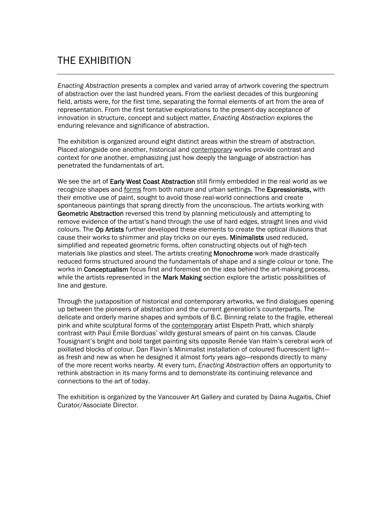# THE EXHIBITION

*Enacting Abstraction* presents a complex and varied array of artwork covering the spectrum of abstraction over the last hundred years. From the earliest decades of this burgeoning field, artists were, for the first time, separating the formal elements of art from the area of representation. From the first tentative explorations to the present-day acceptance of innovation in structure, concept and subject matter, *Enacting Abstraction* explores the enduring relevance and significance of abstraction.

The exhibition is organized around eight distinct areas within the stream of abstraction. Placed alongside one another, historical and contemporary works provide contrast and context for one another, emphasizing just how deeply the language of abstraction has penetrated the fundamentals of art.

We see the art of Early West Coast Abstraction still firmly embedded in the real world as we recognize shapes and forms from both nature and urban settings. The Expressionists, with their emotive use of paint, sought to avoid those real-world connections and create spontaneous paintings that sprang directly from the unconscious. The artists working with Geometric Abstraction reversed this trend by planning meticulously and attempting to remove evidence of the artist's hand through the use of hard edges, straight lines and vivid colours. The Op Artists further developed these elements to create the optical illusions that cause their works to shimmer and play tricks on our eyes. Minimalists used reduced, simplified and repeated geometric forms, often constructing objects out of high-tech materials like plastics and steel. The artists creating Monochrome work made drastically reduced forms structured around the fundamentals of shape and a single colour or tone. The works in **Conceptualism** focus first and foremost on the idea behind the art-making process, while the artists represented in the Mark Making section explore the artistic possibilities of line and gesture.

Through the juxtaposition of historical and contemporary artworks, we find dialogues opening up between the pioneers of abstraction and the current generation's counterparts. The delicate and orderly marine shapes and symbols of B.C. Binning relate to the fragile, ethereal pink and white sculptural forms of the contemporary artist Elspeth Pratt, which sharply contrast with Paul Émile Borduas' wildly gestural smears of paint on his canvas. Claude Tousignant's bright and bold target painting sits opposite Renée Van Halm's cerebral work of pixillated blocks of colour. Dan Flavin's Minimalist installation of coloured fluorescent light as fresh and new as when he designed it almost forty years ago—responds directly to many of the more recent works nearby. At every turn, *Enacting Abstraction* offers an opportunity to rethink abstraction in its many forms and to demonstrate its continuing relevance and connections to the art of today.

The exhibition is organized by the Vancouver Art Gallery and curated by Daina Augaitis, Chief Curator/Associate Director.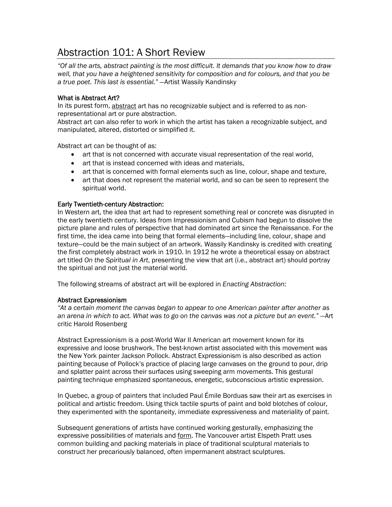# Abstraction 101: A Short Review

*"Of all the arts, abstract painting is the most difficult. It demands that you know how to draw well, that you have a heightened sensitivity for composition and for colours, and that you be a true poet. This last is essential."* —Artist Wassily Kandinsky

#### What is Abstract Art?

In its purest form, abstract art has no recognizable subject and is referred to as nonrepresentational art or pure abstraction.

Abstract art can also refer to work in which the artist has taken a recognizable subject, and manipulated, altered, distorted or simplified it.

Abstract art can be thought of as:

- art that is not concerned with accurate visual representation of the real world,
- art that is instead concerned with ideas and materials.
- art that is concerned with formal elements such as line, colour, shape and texture,
- art that does not represent the material world, and so can be seen to represent the spiritual world.

#### Early Twentieth-century Abstraction:

In Western art, the idea that art had to represent something real or concrete was disrupted in the early twentieth century. Ideas from Impressionism and Cubism had begun to dissolve the picture plane and rules of perspective that had dominated art since the Renaissance. For the first time, the idea came into being that formal elements—including line, colour, shape and texture—could be the main subject of an artwork. Wassily Kandinsky is credited with creating the first completely abstract work in 1910. In 1912 he wrote a theoretical essay on abstract art titled *On the Spiritual in Art*, presenting the view that art (i.e., abstract art) should portray the spiritual and not just the material world.

The following streams of abstract art will be explored in *Enacting Abstraction*:

#### Abstract Expressionism

*"At a certain moment the canvas began to appear to one American painter after another as an arena in which to act. What was to go on the canvas was not a picture but an event."* —Art critic Harold Rosenberg

Abstract Expressionism is a post-World War II American art movement known for its expressive and loose brushwork. The best-known artist associated with this movement was the New York painter Jackson Pollock. Abstract Expressionism is also described as action painting because of Pollock's practice of placing large canvases on the ground to pour, drip and splatter paint across their surfaces using sweeping arm movements. This gestural painting technique emphasized spontaneous, energetic, subconscious artistic expression.

In Quebec, a group of painters that included Paul Émile Borduas saw their art as exercises in political and artistic freedom. Using thick tactile spurts of paint and bold blotches of colour, they experimented with the spontaneity, immediate expressiveness and materiality of paint.

Subsequent generations of artists have continued working gesturally, emphasizing the expressive possibilities of materials and form. The Vancouver artist Elspeth Pratt uses common building and packing materials in place of traditional sculptural materials to construct her precariously balanced, often impermanent abstract sculptures.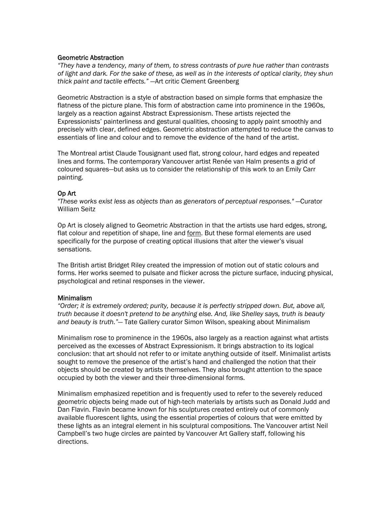#### Geometric Abstraction

*"They have a tendency, many of them, to stress contrasts of pure hue rather than contrasts of light and dark. For the sake of these, as well as in the interests of optical clarity, they shun thick paint and tactile effects."* —Art critic Clement Greenberg

Geometric Abstraction is a style of abstraction based on simple forms that emphasize the flatness of the picture plane. This form of abstraction came into prominence in the 1960s, largely as a reaction against Abstract Expressionism. These artists rejected the Expressionists' painterliness and gestural qualities, choosing to apply paint smoothly and precisely with clear, defined edges. Geometric abstraction attempted to reduce the canvas to essentials of line and colour and to remove the evidence of the hand of the artist.

The Montreal artist Claude Tousignant used flat, strong colour, hard edges and repeated lines and forms. The contemporary Vancouver artist Renée van Halm presents a grid of coloured squares—but asks us to consider the relationship of this work to an Emily Carr painting.

#### Op Art

*"These works exist less as objects than as generators of perceptual responses."* —Curator William Seitz

Op Art is closely aligned to Geometric Abstraction in that the artists use hard edges, strong, flat colour and repetition of shape, line and form. But these formal elements are used specifically for the purpose of creating optical illusions that alter the viewer's visual sensations.

The British artist Bridget Riley created the impression of motion out of static colours and forms. Her works seemed to pulsate and flicker across the picture surface, inducing physical, psychological and retinal responses in the viewer.

#### Minimalism

*"Order; it is extremely ordered; purity, because it is perfectly stripped down. But, above all, truth because it doesn't pretend to be anything else. And, like Shelley says, truth is beauty and beauty is truth."—* Tate Gallery curator Simon Wilson, speaking about Minimalism

Minimalism rose to prominence in the 1960s, also largely as a reaction against what artists perceived as the excesses of Abstract Expressionism. It brings abstraction to its logical conclusion: that art should not refer to or imitate anything outside of itself. Minimalist artists sought to remove the presence of the artist's hand and challenged the notion that their objects should be created by artists themselves. They also brought attention to the space occupied by both the viewer and their three-dimensional forms.

Minimalism emphasized repetition and is frequently used to refer to the severely reduced geometric objects being made out of high-tech materials by artists such as Donald Judd and Dan Flavin. Flavin became known for his sculptures created entirely out of commonly available fluorescent lights, using the essential properties of colours that were emitted by these lights as an integral element in his sculptural compositions. The Vancouver artist Neil Campbell's two huge circles are painted by Vancouver Art Gallery staff, following his directions.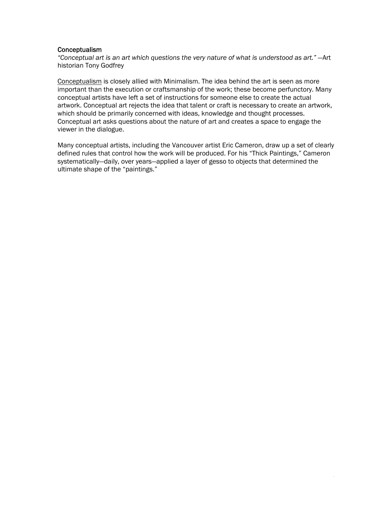#### Conceptualism

*"Conceptual art is an art which questions the very nature of what is understood as art."* —Art historian Tony Godfrey

Conceptualism is closely allied with Minimalism. The idea behind the art is seen as more important than the execution or craftsmanship of the work; these become perfunctory. Many conceptual artists have left a set of instructions for someone else to create the actual artwork. Conceptual art rejects the idea that talent or craft is necessary to create an artwork, which should be primarily concerned with ideas, knowledge and thought processes. Conceptual art asks questions about the nature of art and creates a space to engage the viewer in the dialogue.

Many conceptual artists, including the Vancouver artist Eric Cameron, draw up a set of clearly defined rules that control how the work will be produced. For his "Thick Paintings," Cameron systematically—daily, over years—applied a layer of gesso to objects that determined the ultimate shape of the "paintings."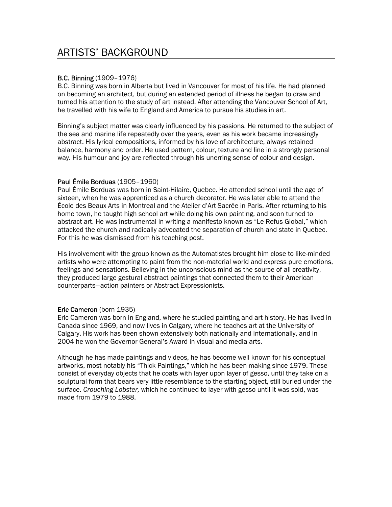#### B.C. Binning (1909–1976)

B.C. Binning was born in Alberta but lived in Vancouver for most of his life. He had planned on becoming an architect, but during an extended period of illness he began to draw and turned his attention to the study of art instead. After attending the Vancouver School of Art, he travelled with his wife to England and America to pursue his studies in art.

Binning's subject matter was clearly influenced by his passions. He returned to the subject of the sea and marine life repeatedly over the years, even as his work became increasingly abstract. His lyrical compositions, informed by his love of architecture, always retained balance, harmony and order. He used pattern, colour, texture and line in a strongly personal way. His humour and joy are reflected through his unerring sense of colour and design.

#### Paul Émile Borduas (1905–1960)

Paul Émile Borduas was born in Saint-Hilaire, Quebec. He attended school until the age of sixteen, when he was apprenticed as a church decorator. He was later able to attend the École des Beaux Arts in Montreal and the Atelier d'Art Sacrée in Paris. After returning to his home town, he taught high school art while doing his own painting, and soon turned to abstract art. He was instrumental in writing a manifesto known as "Le Refus Global," which attacked the church and radically advocated the separation of church and state in Quebec. For this he was dismissed from his teaching post.

His involvement with the group known as the Automatistes brought him close to like-minded artists who were attempting to paint from the non-material world and express pure emotions, feelings and sensations. Believing in the unconscious mind as the source of all creativity, they produced large gestural abstract paintings that connected them to their American counterparts—action painters or Abstract Expressionists.

#### Eric Cameron (born 1935)

Eric Cameron was born in England, where he studied painting and art history. He has lived in Canada since 1969, and now lives in Calgary, where he teaches art at the University of Calgary. His work has been shown extensively both nationally and internationally, and in 2004 he won the Governor General's Award in visual and media arts.

Although he has made paintings and videos, he has become well known for his conceptual artworks, most notably his "Thick Paintings," which he has been making since 1979. These consist of everyday objects that he coats with layer upon layer of gesso, until they take on a sculptural form that bears very little resemblance to the starting object, still buried under the surface. *Crouching Lobster,* which he continued to layer with gesso until it was sold, was made from 1979 to 1988.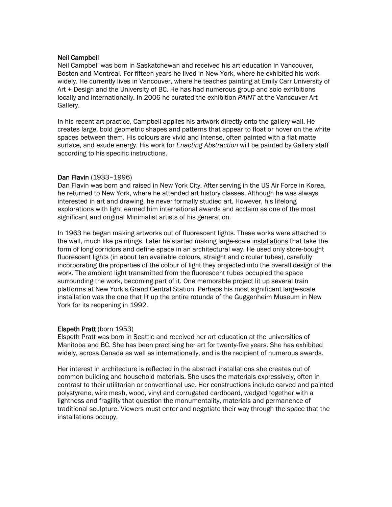#### Neil Campbell

Neil Campbell was born in Saskatchewan and received his art education in Vancouver, Boston and Montreal. For fifteen years he lived in New York, where he exhibited his work widely. He currently lives in Vancouver, where he teaches painting at Emily Carr University of Art + Design and the University of BC. He has had numerous group and solo exhibitions locally and internationally. In 2006 he curated the exhibition *PAINT* at the Vancouver Art Gallery.

In his recent art practice, Campbell applies his artwork directly onto the gallery wall. He creates large, bold geometric shapes and patterns that appear to float or hover on the white spaces between them. His colours are vivid and intense, often painted with a flat matte surface, and exude energy. His work for *Enacting Abstraction* will be painted by Gallery staff according to his specific instructions.

#### Dan Flavin (1933–1996)

Dan Flavin was born and raised in New York City. After serving in the US Air Force in Korea, he returned to New York, where he attended art history classes. Although he was always interested in art and drawing, he never formally studied art. However, his lifelong explorations with light earned him international awards and acclaim as one of the most significant and original Minimalist artists of his generation.

In 1963 he began making artworks out of fluorescent lights. These works were attached to the wall, much like paintings. Later he started making large-scale installations that take the form of long corridors and define space in an architectural way. He used only store-bought fluorescent lights (in about ten available colours, straight and circular tubes), carefully incorporating the properties of the colour of light they projected into the overall design of the work. The ambient light transmitted from the fluorescent tubes occupied the space surrounding the work, becoming part of it. One memorable project lit up several train platforms at New York's Grand Central Station. Perhaps his most significant large-scale installation was the one that lit up the entire rotunda of the Guggenheim Museum in New York for its reopening in 1992.

#### Elspeth Pratt (born 1953)

Elspeth Pratt was born in Seattle and received her art education at the universities of Manitoba and BC. She has been practising her art for twenty-five years. She has exhibited widely, across Canada as well as internationally, and is the recipient of numerous awards.

Her interest in architecture is reflected in the abstract installations she creates out of common building and household materials. She uses the materials expressively, often in contrast to their utilitarian or conventional use. Her constructions include carved and painted polystyrene, wire mesh, wood, vinyl and corrugated cardboard, wedged together with a lightness and fragility that question the monumentality, materials and permanence of traditional sculpture. Viewers must enter and negotiate their way through the space that the installations occupy,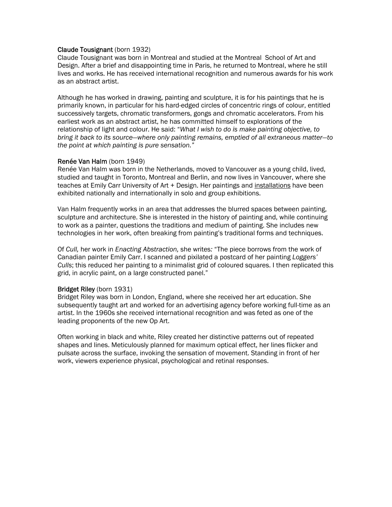#### Claude Tousignant (born 1932)

Claude Tousignant was born in Montreal and studied at the Montreal School of Art and Design. After a brief and disappointing time in Paris, he returned to Montreal, where he still lives and works. He has received international recognition and numerous awards for his work as an abstract artist.

Although he has worked in drawing, painting and sculpture, it is for his paintings that he is primarily known, in particular for his hard-edged circles of concentric rings of colour, entitled successively targets, chromatic transformers, gongs and chromatic accelerators. From his earliest work as an abstract artist, he has committed himself to explorations of the relationship of light and colour. He said: "*What I wish to do is make painting objective, to bring it back to its source—where only painting remains, emptied of all extraneous matter—to the point at which painting is pure sensation."*

#### Renée Van Halm (born 1949)

Renée Van Halm was born in the Netherlands, moved to Vancouver as a young child, lived, studied and taught in Toronto, Montreal and Berlin, and now lives in Vancouver, where she teaches at Emily Carr University of Art + Design. Her paintings and installations have been exhibited nationally and internationally in solo and group exhibitions.

Van Halm frequently works in an area that addresses the blurred spaces between painting, sculpture and architecture. She is interested in the history of painting and, while continuing to work as a painter, questions the traditions and medium of painting. She includes new technologies in her work, often breaking from painting's traditional forms and techniques.

Of *Cull,* her work in *Enacting Abstraction,* she writes*:* "The piece borrows from the work of Canadian painter Emily Carr. I scanned and pixilated a postcard of her painting *Loggers' Culls*; this reduced her painting to a minimalist grid of coloured squares. I then replicated this grid, in acrylic paint, on a large constructed panel."

#### Bridget Riley (born 1931)

Bridget Riley was born in London, England, where she received her art education. She subsequently taught art and worked for an advertising agency before working full-time as an artist. In the 1960s she received international recognition and was feted as one of the leading proponents of the new Op Art.

Often working in black and white, Riley created her distinctive patterns out of repeated shapes and lines. Meticulously planned for maximum optical effect, her lines flicker and pulsate across the surface, invoking the sensation of movement. Standing in front of her work, viewers experience physical, psychological and retinal responses.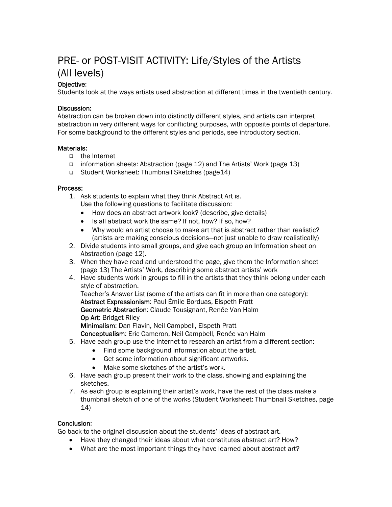# PRE- or POST-VISIT ACTIVITY: Life/Styles of the Artists (All levels)

#### Objective:

Students look at the ways artists used abstraction at different times in the twentieth century.

#### Discussion:

Abstraction can be broken down into distinctly different styles, and artists can interpret abstraction in very different ways for conflicting purposes, with opposite points of departure. For some background to the different styles and periods, see introductory section.

#### Materials:

- □ the Internet
- information sheets: Abstraction (page 12) and The Artists' Work (page 13)
- Student Worksheet: Thumbnail Sketches (page14)

#### Process:

- 1. Ask students to explain what they think Abstract Art is.
	- Use the following questions to facilitate discussion:
	- How does an abstract artwork look? (describe, give details)
	- Is all abstract work the same? If not, how? If so, how?
	- Why would an artist choose to make art that is abstract rather than realistic? (artists are making conscious decisions—not just unable to draw realistically)
- 2. Divide students into small groups, and give each group an Information sheet on Abstraction (page 12).
- 3. When they have read and understood the page, give them the Information sheet (page 13) The Artists' Work, describing some abstract artists' work
- 4. Have students work in groups to fill in the artists that they think belong under each style of abstraction.

Teacher's Answer List (some of the artists can fit in more than one category): Abstract Expressionism: Paul Émile Borduas, Elspeth Pratt Geometric Abstraction: Claude Tousignant, Renée Van Halm Op Art: Bridget Riley Minimalism: Dan Flavin, Neil Campbell, Elspeth Pratt

Conceptualism: Eric Cameron, Neil Campbell, Renée van Halm

- 5. Have each group use the Internet to research an artist from a different section:
	- Find some background information about the artist.
	- Get some information about significant artworks.
	- Make some sketches of the artist's work.
- 6. Have each group present their work to the class, showing and explaining the sketches.
- 7. As each group is explaining their artist's work, have the rest of the class make a thumbnail sketch of one of the works (Student Worksheet: Thumbnail Sketches, page 14)

#### Conclusion:

Go back to the original discussion about the students' ideas of abstract art.

- Have they changed their ideas about what constitutes abstract art? How?
- What are the most important things they have learned about abstract art?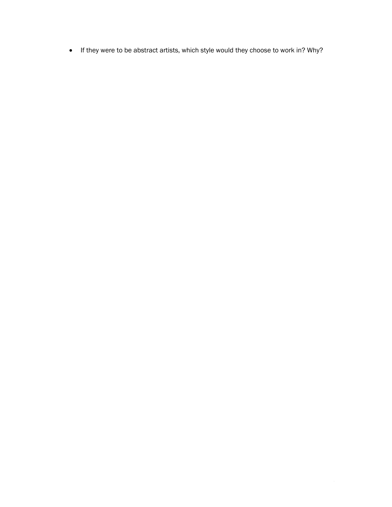• If they were to be abstract artists, which style would they choose to work in? Why?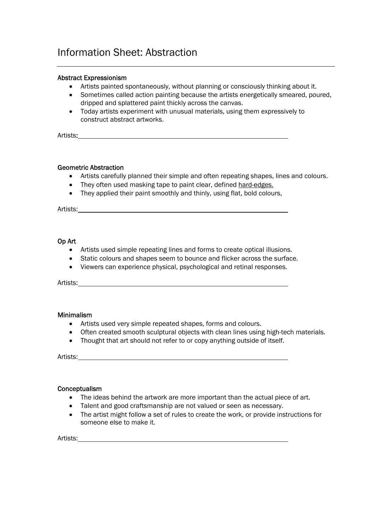## Information Sheet: Abstraction

#### Abstract Expressionism

- Artists painted spontaneously, without planning or consciously thinking about it.
- Sometimes called action painting because the artists energetically smeared, poured, dripped and splattered paint thickly across the canvas.
- Today artists experiment with unusual materials, using them expressively to construct abstract artworks.

Artists:

#### Geometric Abstraction

- Artists carefully planned their simple and often repeating shapes, lines and colours.
- They often used masking tape to paint clear, defined hard-edges.
- They applied their paint smoothly and thinly, using flat, bold colours,

Artists:

#### Op Art

- Artists used simple repeating lines and forms to create optical illusions.
- Static colours and shapes seem to bounce and flicker across the surface.
- Viewers can experience physical, psychological and retinal responses.

Artists:

#### Minimalism

- Artists used very simple repeated shapes, forms and colours.
- Often created smooth sculptural objects with clean lines using high-tech materials.
- Thought that art should not refer to or copy anything outside of itself.

Artists:

#### Conceptualism

- The ideas behind the artwork are more important than the actual piece of art.
- Talent and good craftsmanship are not valued or seen as necessary.
- The artist might follow a set of rules to create the work, or provide instructions for someone else to make it.

Artists: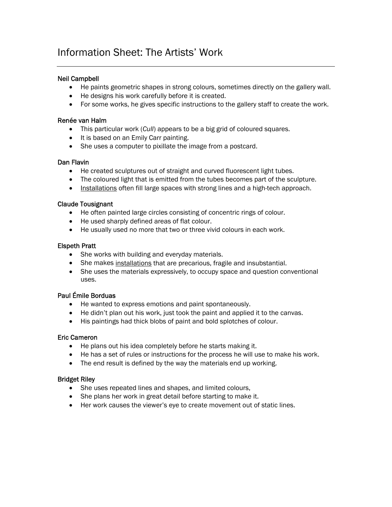# Information Sheet: The Artists' Work

#### Neil Campbell

- He paints geometric shapes in strong colours, sometimes directly on the gallery wall.
- He designs his work carefully before it is created.
- For some works, he gives specific instructions to the gallery staff to create the work.

#### Renée van Halm

- This particular work (*Cull*) appears to be a big grid of coloured squares.
- It is based on an Emily Carr painting.
- She uses a computer to pixillate the image from a postcard.

#### Dan Flavin

- He created sculptures out of straight and curved fluorescent light tubes.
- The coloured light that is emitted from the tubes becomes part of the sculpture.
- Installations often fill large spaces with strong lines and a high-tech approach.

#### Claude Tousignant

- He often painted large circles consisting of concentric rings of colour.
- He used sharply defined areas of flat colour.
- He usually used no more that two or three vivid colours in each work.

#### Elspeth Pratt

- She works with building and everyday materials.
- She makes installations that are precarious, fragile and insubstantial.
- She uses the materials expressively, to occupy space and question conventional uses.

#### Paul Émile Borduas

- He wanted to express emotions and paint spontaneously.
- He didn't plan out his work, just took the paint and applied it to the canvas.
- His paintings had thick blobs of paint and bold splotches of colour.

#### Eric Cameron

- He plans out his idea completely before he starts making it.
- He has a set of rules or instructions for the process he will use to make his work.
- The end result is defined by the way the materials end up working.

#### Bridget Riley

- She uses repeated lines and shapes, and limited colours,
- She plans her work in great detail before starting to make it.
- Her work causes the viewer's eye to create movement out of static lines.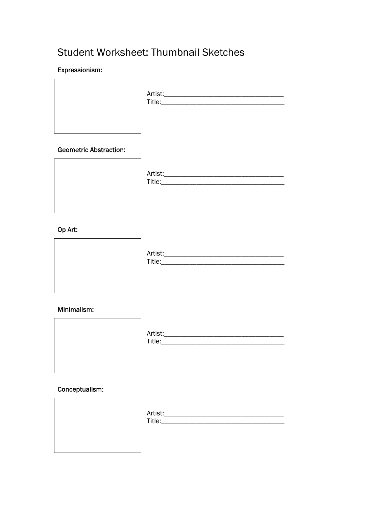# Student Worksheet: Thumbnail Sketches

#### Expressionism:

| Artist:__<br>Title:___ |
|------------------------|
|                        |

#### **Geometric Abstraction:**



#### Op Art:



#### Minimalism:



#### Conceptualism:

|  | Artist:_<br>Title:__ |
|--|----------------------|
|  |                      |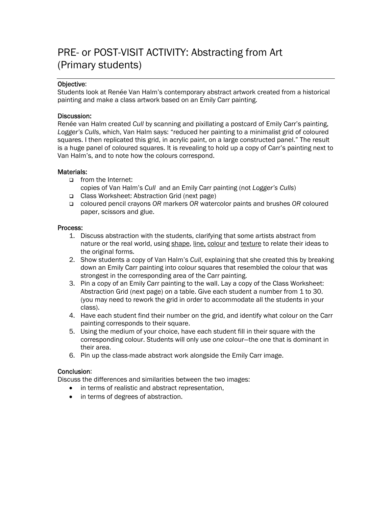# PRE- or POST-VISIT ACTIVITY: Abstracting from Art (Primary students)

#### Objective:

Students look at Renée Van Halm's contemporary abstract artwork created from a historical painting and make a class artwork based on an Emily Carr painting.

#### Discussion:

Renée van Halm created *Cull* by scanning and pixillating a postcard of Emily Carr's painting, *Logger's Culls*, which, Van Halm says: "reduced her painting to a minimalist grid of coloured squares. I then replicated this grid, in acrylic paint, on a large constructed panel." The result is a huge panel of coloured squares. It is revealing to hold up a copy of Carr's painting next to Van Halm's, and to note how the colours correspond.

#### Materials:

- from the Internet: copies of Van Halm's *Cull* and an Emily Carr painting (not *Logger's Culls*)
- Class Worksheet: Abstraction Grid (next page)
- coloured pencil crayons *OR* markers *OR* watercolor paints and brushes *OR* coloured paper, scissors and glue.

#### Process:

- 1. Discuss abstraction with the students, clarifying that some artists abstract from nature or the real world, using shape, line, colour and texture to relate their ideas to the original forms.
- 2. Show students a copy of Van Halm's *Cull*, explaining that she created this by breaking down an Emily Carr painting into colour squares that resembled the colour that was strongest in the corresponding area of the Carr painting.
- 3. Pin a copy of an Emily Carr painting to the wall. Lay a copy of the Class Worksheet: Abstraction Grid (next page) on a table. Give each student a number from 1 to 30. (you may need to rework the grid in order to accommodate all the students in your class).
- 4. Have each student find their number on the grid, and identify what colour on the Carr painting corresponds to their square.
- 5. Using the medium of your choice, have each student fill in their square with the corresponding colour. Students will only use *one* colour—the one that is dominant in their area.
- 6. Pin up the class-made abstract work alongside the Emily Carr image.

#### Conclusion:

Discuss the differences and similarities between the two images:

- in terms of realistic and abstract representation,
- in terms of degrees of abstraction.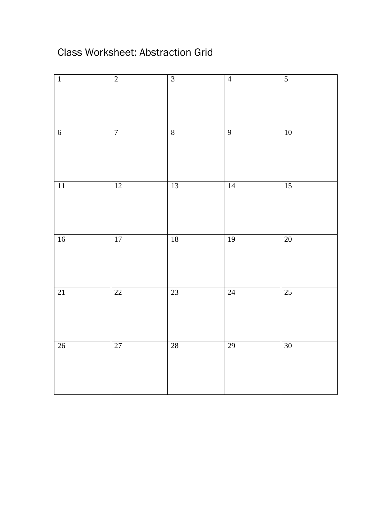# Class Worksheet: Abstraction Grid

| $\overline{1}$  | $\overline{2}$  | $\overline{3}$          | $\overline{4}$  | $\overline{5}$  |
|-----------------|-----------------|-------------------------|-----------------|-----------------|
| $\overline{6}$  | $\overline{7}$  | $\overline{\textbf{8}}$ | $\overline{9}$  | $10\,$          |
| $\overline{11}$ | 12              | $13$                    | 14              | 15              |
| $16$            | $\overline{17}$ | $18\,$                  | $\overline{19}$ | $\overline{20}$ |
| $\overline{21}$ | 22              | 23                      | $\overline{24}$ | 25              |
| 26              | 27              | $\overline{28}$         | 29              | $30\,$          |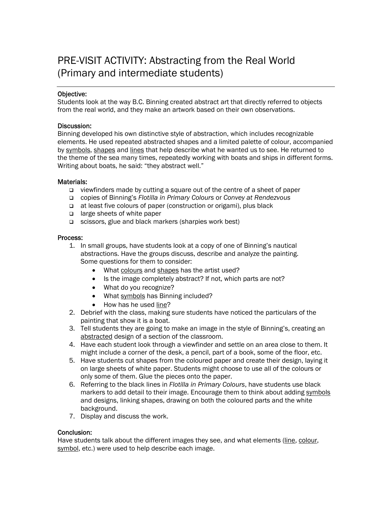# PRE-VISIT ACTIVITY: Abstracting from the Real World (Primary and intermediate students)

#### Objective:

Students look at the way B.C. Binning created abstract art that directly referred to objects from the real world, and they make an artwork based on their own observations.

#### Discussion:

Binning developed his own distinctive style of abstraction, which includes recognizable elements. He used repeated abstracted shapes and a limited palette of colour, accompanied by symbols, shapes and lines that help describe what he wanted us to see. He returned to the theme of the sea many times, repeatedly working with boats and ships in different forms. Writing about boats, he said: "they abstract well."

#### Materials:

- viewfinders made by cutting a square out of the centre of a sheet of paper
- copies of Binning's *Flotilla in Primary Colours* or *Convey at Rendezvous*
- at least five colours of paper (construction or origami), plus black
- □ large sheets of white paper
- □ scissors, glue and black markers (sharpies work best)

#### Process:

- 1. In small groups, have students look at a copy of one of Binning's nautical abstractions. Have the groups discuss, describe and analyze the painting. Some questions for them to consider:
	- What colours and shapes has the artist used?
	- Is the image completely abstract? If not, which parts are not?
	- What do you recognize?
	- What symbols has Binning included?
	- How has he used line?
- 2. Debrief with the class, making sure students have noticed the particulars of the painting that show it is a boat.
- 3. Tell students they are going to make an image in the style of Binning's, creating an abstracted design of a section of the classroom.
- 4. Have each student look through a viewfinder and settle on an area close to them. It might include a corner of the desk, a pencil, part of a book, some of the floor, etc.
- 5. Have students cut shapes from the coloured paper and create their design, laying it on large sheets of white paper. Students might choose to use all of the colours or only some of them. Glue the pieces onto the paper.
- 6. Referring to the black lines in *Flotilla in Primary Colours*, have students use black markers to add detail to their image. Encourage them to think about adding symbols and designs, linking shapes, drawing on both the coloured parts and the white background.
- 7. Display and discuss the work.

#### Conclusion:

Have students talk about the different images they see, and what elements (line, colour, symbol, etc.) were used to help describe each image.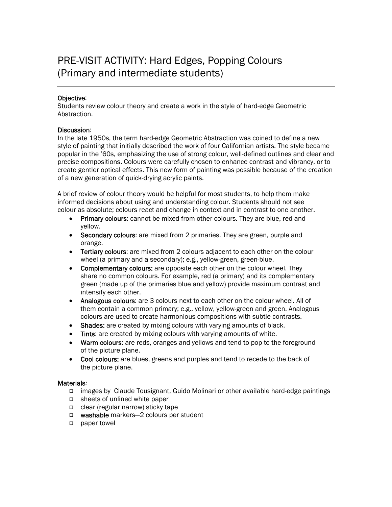# PRE-VISIT ACTIVITY: Hard Edges, Popping Colours (Primary and intermediate students)

#### Objective:

Students review colour theory and create a work in the style of hard-edge Geometric Abstraction.

#### Discussion:

In the late 1950s, the term hard-edge Geometric Abstraction was coined to define a new style of painting that initially described the work of four Californian artists. The style became popular in the '60s, emphasizing the use of strong colour, well-defined outlines and clear and precise compositions. Colours were carefully chosen to enhance contrast and vibrancy, or to create gentler optical effects. This new form of painting was possible because of the creation of a new generation of quick-drying acrylic paints.

A brief review of colour theory would be helpful for most students, to help them make informed decisions about using and understanding colour. Students should not see colour as absolute; colours react and change in context and in contrast to one another.

- Primary colours: cannot be mixed from other colours. They are blue, red and yellow.
- Secondary colours: are mixed from 2 primaries. They are green, purple and orange.
- Tertiary colours: are mixed from 2 colours adjacent to each other on the colour wheel (a primary and a secondary); e.g., yellow-green, green-blue.
- Complementary colours: are opposite each other on the colour wheel. They share no common colours. For example, red (a primary) and its complementary green (made up of the primaries blue and yellow) provide maximum contrast and intensify each other.
- Analogous colours: are 3 colours next to each other on the colour wheel. All of them contain a common primary; e.g., yellow, yellow-green and green. Analogous colours are used to create harmonious compositions with subtle contrasts.
- Shades: are created by mixing colours with varying amounts of black.
- Tints: are created by mixing colours with varying amounts of white.
- Warm colours: are reds, oranges and yellows and tend to pop to the foreground of the picture plane.
- Cool colours: are blues, greens and purples and tend to recede to the back of the picture plane.

#### Materials:

- images by Claude Tousignant, Guido Molinari or other available hard-edge paintings
- □ sheets of unlined white paper
- $\Box$  clear (regular narrow) sticky tape
- washable markers-2 colours per student
- paper towel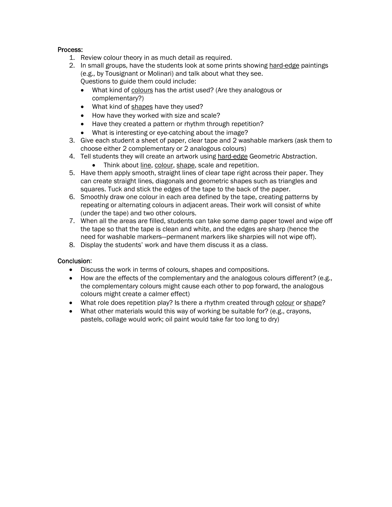#### Process:

- 1. Review colour theory in as much detail as required.
- 2. In small groups, have the students look at some prints showing hard-edge paintings (e.g., by Tousignant or Molinari) and talk about what they see. Questions to guide them could include:
	- What kind of colours has the artist used? (Are they analogous or complementary?)
	- What kind of shapes have they used?
	- How have they worked with size and scale?
	- Have they created a pattern or rhythm through repetition?
	- What is interesting or eye-catching about the image?
- 3. Give each student a sheet of paper, clear tape and 2 washable markers (ask them to choose either 2 complementary or 2 analogous colours)
- 4. Tell students they will create an artwork using hard-edge Geometric Abstraction.
	- Think about line, colour, shape, scale and repetition.
- 5. Have them apply smooth, straight lines of clear tape right across their paper. They can create straight lines, diagonals and geometric shapes such as triangles and squares. Tuck and stick the edges of the tape to the back of the paper.
- 6. Smoothly draw one colour in each area defined by the tape, creating patterns by repeating or alternating colours in adjacent areas. Their work will consist of white (under the tape) and two other colours.
- 7. When all the areas are filled, students can take some damp paper towel and wipe off the tape so that the tape is clean and white, and the edges are sharp (hence the need for washable markers—permanent markers like sharpies will not wipe off).
- 8. Display the students' work and have them discuss it as a class.

#### Conclusion:

- Discuss the work in terms of colours, shapes and compositions.
- How are the effects of the complementary and the analogous colours different? (e.g., the complementary colours might cause each other to pop forward, the analogous colours might create a calmer effect)
- What role does repetition play? Is there a rhythm created through colour or shape?
- What other materials would this way of working be suitable for? (e.g., crayons, pastels, collage would work; oil paint would take far too long to dry)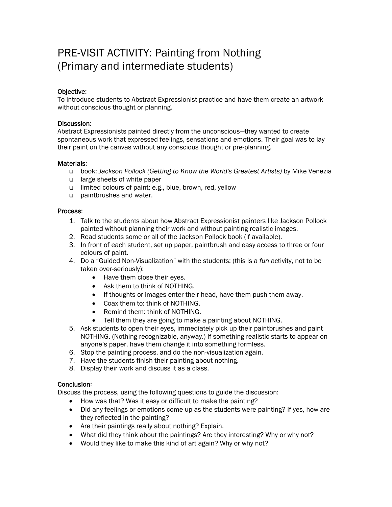# PRE-VISIT ACTIVITY: Painting from Nothing (Primary and intermediate students)

#### Objective:

To introduce students to Abstract Expressionist practice and have them create an artwork without conscious thought or planning.

#### Discussion:

Abstract Expressionists painted directly from the unconscious—they wanted to create spontaneous work that expressed feelings, sensations and emotions. Their goal was to lay their paint on the canvas without any conscious thought or pre-planning.

#### Materials:

- book: *Jackson Pollock (Getting to Know the World's Greatest Artists)* by Mike Venezia
- a large sheets of white paper
- limited colours of paint; e.g., blue, brown, red, yellow
- paintbrushes and water.

#### Process:

- 1. Talk to the students about how Abstract Expressionist painters like Jackson Pollock painted without planning their work and without painting realistic images.
- 2. Read students some or all of the Jackson Pollock book (if available).
- 3. In front of each student, set up paper, paintbrush and easy access to three or four colours of paint.
- 4. Do a "Guided Non-Visualization" with the students: (this is a *fun* activity, not to be taken over-seriously):
	- Have them close their eyes.
	- Ask them to think of NOTHING.
	- If thoughts or images enter their head, have them push them away.
	- Coax them to: think of NOTHING.
	- Remind them: think of NOTHING.
	- Tell them they are going to make a painting about NOTHING.
- 5. Ask students to open their eyes, immediately pick up their paintbrushes and paint NOTHING. (Nothing recognizable, anyway.) If something realistic starts to appear on anyone's paper, have them change it into something formless.
- 6. Stop the painting process, and do the non-visualization again.
- 7. Have the students finish their painting about nothing.
- 8. Display their work and discuss it as a class.

#### Conclusion:

Discuss the process, using the following questions to guide the discussion:

- How was that? Was it easy or difficult to make the painting?
- Did any feelings or emotions come up as the students were painting? If yes, how are they reflected in the painting?
- Are their paintings really about nothing? Explain.
- What did they think about the paintings? Are they interesting? Why or why not?
- Would they like to make this kind of art again? Why or why not?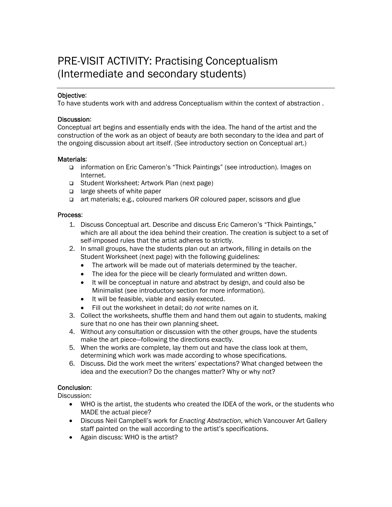# PRE-VISIT ACTIVITY: Practising Conceptualism (Intermediate and secondary students)

#### Objective:

To have students work with and address Conceptualism within the context of abstraction .

#### Discussion:

Conceptual art begins and essentially ends with the idea. The hand of the artist and the construction of the work as an object of beauty are both secondary to the idea and part of the ongoing discussion about art itself. (See introductory section on Conceptual art.)

#### Materials:

- information on Eric Cameron's "Thick Paintings" (see introduction). Images on Internet.
- Student Worksheet: Artwork Plan (next page)
- $\Box$  large sheets of white paper
- art materials; e.g., coloured markers *OR* coloured paper, scissors and glue

#### Process:

- 1. Discuss Conceptual art. Describe and discuss Eric Cameron's "Thick Paintings," which are all about the idea behind their creation. The creation is subject to a set of self-imposed rules that the artist adheres to strictly.
- 2. In small groups, have the students plan out an artwork, filling in details on the Student Worksheet (next page) with the following guidelines:
	- The artwork will be made out of materials determined by the teacher.
	- The idea for the piece will be clearly formulated and written down.
	- It will be conceptual in nature and abstract by design, and could also be Minimalist (see introductory section for more information).
	- It will be feasible, viable and easily executed.
	- Fill out the worksheet in detail; do *not* write names on it.
- 3. Collect the worksheets, shuffle them and hand them out again to students, making sure that no one has their own planning sheet.
- 4. Without *any* consultation or discussion with the other groups, have the students make the art piece—following the directions exactly.
- 5. When the works are complete, lay them out and have the class look at them, determining which work was made according to whose specifications.
- 6. Discuss. Did the work meet the writers' expectations? What changed between the idea and the execution? Do the changes matter? Why or why not?

#### Conclusion:

Discussion:

- WHO is the artist, the students who created the IDEA of the work, or the students who MADE the actual piece?
- Discuss Neil Campbell's work for *Enacting Abstraction*, which Vancouver Art Gallery staff painted on the wall according to the artist's specifications.
- Again discuss: WHO is the artist?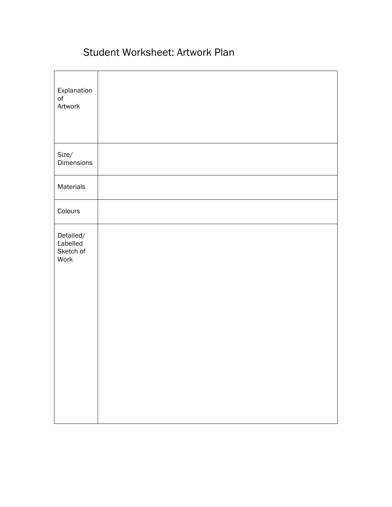# Student Worksheet: Artwork Plan

| Explanation<br>$\mathsf{of}$<br>Artwork    |  |
|--------------------------------------------|--|
| Size/<br>Dimensions                        |  |
| Materials                                  |  |
| Colours                                    |  |
| Detailed/<br>Labelled<br>Sketch of<br>Work |  |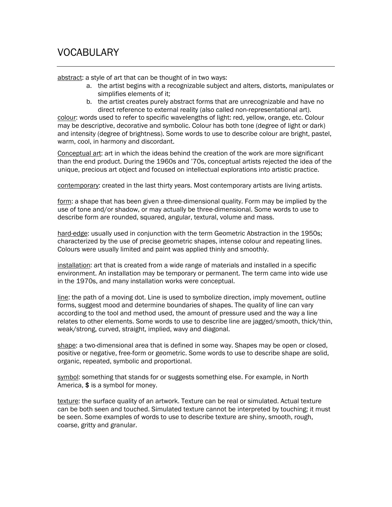# VOCABULARY

abstract: a style of art that can be thought of in two ways:

- a. the artist begins with a recognizable subject and alters, distorts, manipulates or simplifies elements of it;
- b. the artist creates purely abstract forms that are unrecognizable and have no direct reference to external reality (also called non-representational art).

colour: words used to refer to specific wavelengths of light: red, yellow, orange, etc. Colour may be descriptive, decorative and symbolic. Colour has both tone (degree of light or dark) and intensity (degree of brightness). Some words to use to describe colour are bright, pastel, warm, cool, in harmony and discordant.

Conceptual art: art in which the ideas behind the creation of the work are more significant than the end product. During the 1960s and '70s, conceptual artists rejected the idea of the unique, precious art object and focused on intellectual explorations into artistic practice.

contemporary: created in the last thirty years. Most contemporary artists are living artists.

form: a shape that has been given a three-dimensional quality. Form may be implied by the use of tone and/or shadow, or may actually be three-dimensional. Some words to use to describe form are rounded, squared, angular, textural, volume and mass.

hard-edge: usually used in conjunction with the term Geometric Abstraction in the 1950s; characterized by the use of precise geometric shapes, intense colour and repeating lines. Colours were usually limited and paint was applied thinly and smoothly.

installation: art that is created from a wide range of materials and installed in a specific environment. An installation may be temporary or permanent. The term came into wide use in the 1970s, and many installation works were conceptual.

line: the path of a moving dot. Line is used to symbolize direction, imply movement, outline forms, suggest mood and determine boundaries of shapes. The quality of line can vary according to the tool and method used, the amount of pressure used and the way a line relates to other elements. Some words to use to describe line are jagged/smooth, thick/thin, weak/strong, curved, straight, implied, wavy and diagonal.

shape: a two-dimensional area that is defined in some way. Shapes may be open or closed, positive or negative, free-form or geometric. Some words to use to describe shape are solid, organic, repeated, symbolic and proportional.

symbol: something that stands for or suggests something else. For example, in North America, \$ is a symbol for money.

texture: the surface quality of an artwork. Texture can be real or simulated. Actual texture can be both seen and touched. Simulated texture cannot be interpreted by touching; it must be seen. Some examples of words to use to describe texture are shiny, smooth, rough, coarse, gritty and granular.